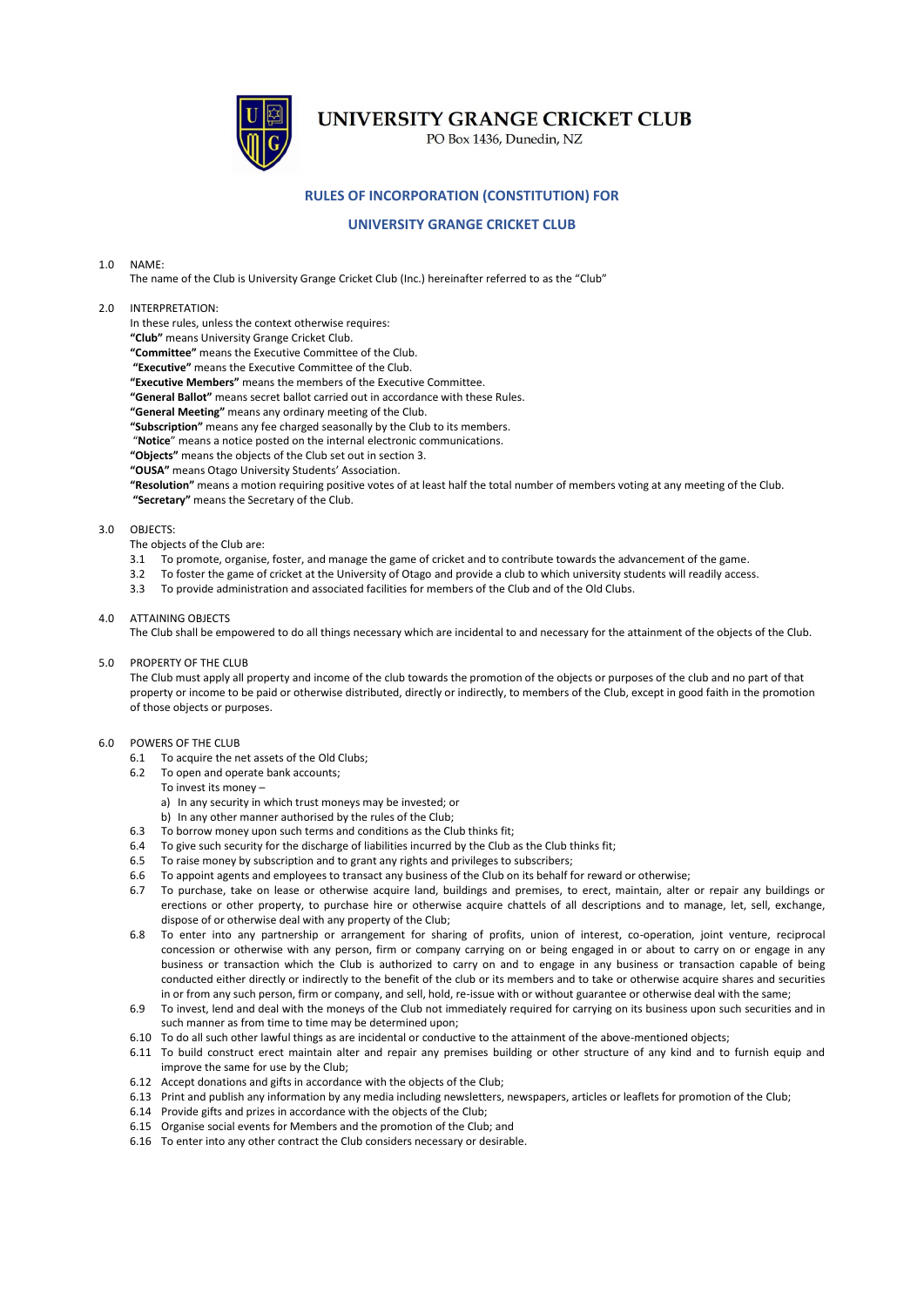

# UNIVERSITY GRANGE CRICKET CLUB

PO Box 1436, Dunedin, NZ

# **RULES OF INCORPORATION (CONSTITUTION) FOR**

## **UNIVERSITY GRANGE CRICKET CLUB**

#### 1.0 NAME:

The name of the Club is University Grange Cricket Club (Inc.) hereinafter referred to as the "Club"

## 2.0 INTERPRETATION:

In these rules, unless the context otherwise requires:

**"Club"** means University Grange Cricket Club.

**"Committee"** means the Executive Committee of the Club.

**"Executive"** means the Executive Committee of the Club.

**"Executive Members"** means the members of the Executive Committee.

**"General Ballot"** means secret ballot carried out in accordance with these Rules.

**"General Meeting"** means any ordinary meeting of the Club.

**"Subscription"** means any fee charged seasonally by the Club to its members.

"**Notice**" means a notice posted on the internal electronic communications.

**"Objects"** means the objects of the Club set out in section 3.

**"OUSA"** means Otago University Students' Association.

**"Resolution"** means a motion requiring positive votes of at least half the total number of members voting at any meeting of the Club. **"Secretary"** means the Secretary of the Club.

#### 3.0 OBJECTS:

The objects of the Club are:

- 3.1 To promote, organise, foster, and manage the game of cricket and to contribute towards the advancement of the game.
- 3.2 To foster the game of cricket at the University of Otago and provide a club to which university students will readily access.
- 3.3 To provide administration and associated facilities for members of the Club and of the Old Clubs.
- 4.0 ATTAINING OBJECTS

The Club shall be empowered to do all things necessary which are incidental to and necessary for the attainment of the objects of the Club.

## 5.0 PROPERTY OF THE CLUB

The Club must apply all property and income of the club towards the promotion of the objects or purposes of the club and no part of that property or income to be paid or otherwise distributed, directly or indirectly, to members of the Club, except in good faith in the promotion of those objects or purposes.

## 6.0 POWERS OF THE CLUB

- 6.1 To acquire the net assets of the Old Clubs;
- 6.2 To open and operate bank accounts;
	- To invest its money –
	- a) In any security in which trust moneys may be invested; or
	- b) In any other manner authorised by the rules of the Club;
- 6.3 To borrow money upon such terms and conditions as the Club thinks fit;
- 6.4 To give such security for the discharge of liabilities incurred by the Club as the Club thinks fit;
- 6.5 To raise money by subscription and to grant any rights and privileges to subscribers;
- 6.6 To appoint agents and employees to transact any business of the Club on its behalf for reward or otherwise;
- 6.7 To purchase, take on lease or otherwise acquire land, buildings and premises, to erect, maintain, alter or repair any buildings or erections or other property, to purchase hire or otherwise acquire chattels of all descriptions and to manage, let, sell, exchange, dispose of or otherwise deal with any property of the Club;
- 6.8 To enter into any partnership or arrangement for sharing of profits, union of interest, co-operation, joint venture, reciprocal concession or otherwise with any person, firm or company carrying on or being engaged in or about to carry on or engage in any business or transaction which the Club is authorized to carry on and to engage in any business or transaction capable of being conducted either directly or indirectly to the benefit of the club or its members and to take or otherwise acquire shares and securities in or from any such person, firm or company, and sell, hold, re-issue with or without guarantee or otherwise deal with the same;
- 6.9 To invest, lend and deal with the moneys of the Club not immediately required for carrying on its business upon such securities and in such manner as from time to time may be determined upon;
- 6.10 To do all such other lawful things as are incidental or conductive to the attainment of the above-mentioned objects;
- 6.11 To build construct erect maintain alter and repair any premises building or other structure of any kind and to furnish equip and improve the same for use by the Club;
- 6.12 Accept donations and gifts in accordance with the objects of the Club;
- 6.13 Print and publish any information by any media including newsletters, newspapers, articles or leaflets for promotion of the Club;
- 6.14 Provide gifts and prizes in accordance with the objects of the Club;
- 6.15 Organise social events for Members and the promotion of the Club; and
- 6.16 To enter into any other contract the Club considers necessary or desirable.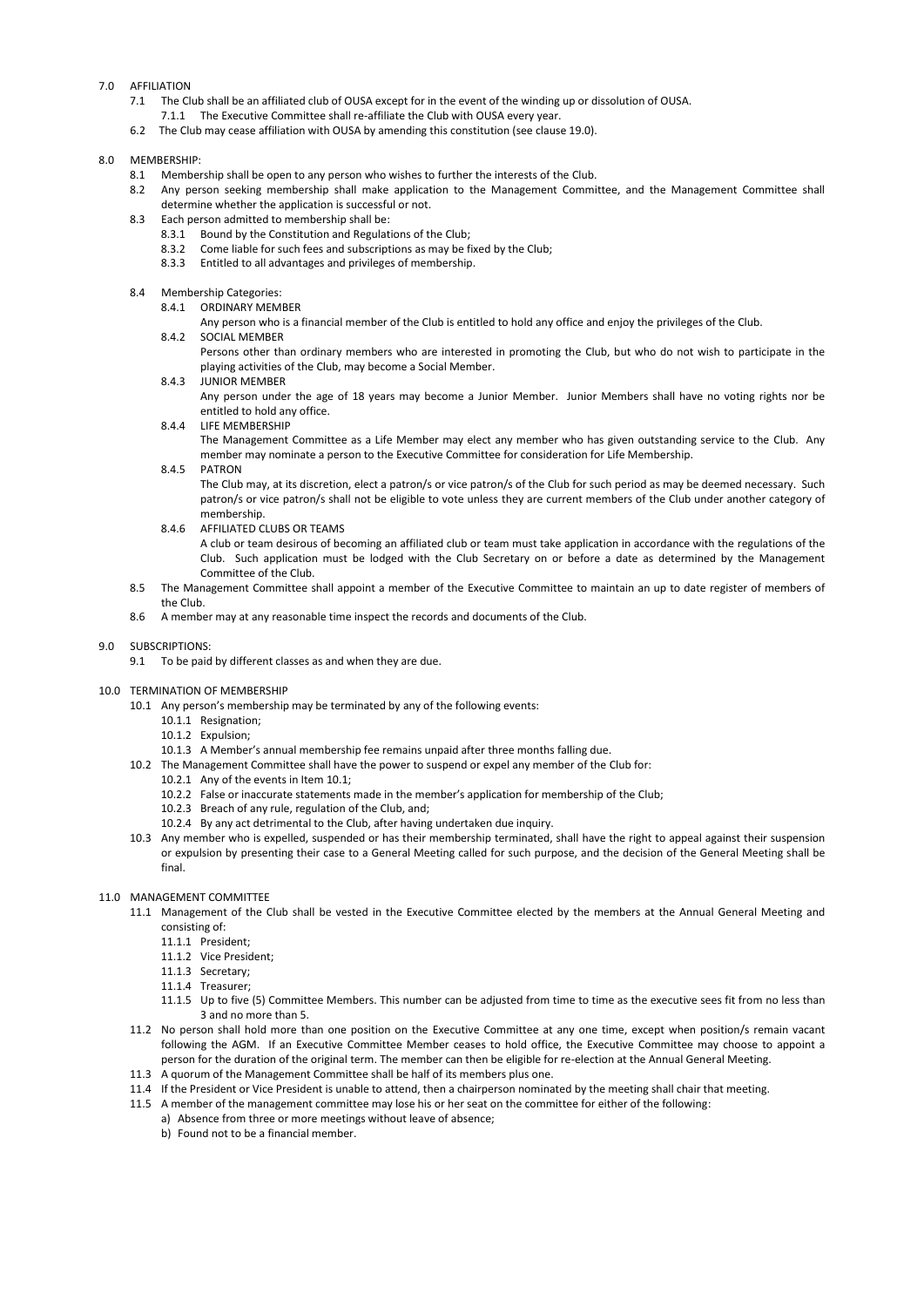## 7.0 AFFILIATION

- 7.1 The Club shall be an affiliated club of OUSA except for in the event of the winding up or dissolution of OUSA.
	- 7.1.1 The Executive Committee shall re-affiliate the Club with OUSA every year.
- 6.2 The Club may cease affiliation with OUSA by amending this constitution (see clause 19.0).

## 8.0 MEMBERSHIP:

- 8.1 Membership shall be open to any person who wishes to further the interests of the Club.
- 8.2 Any person seeking membership shall make application to the Management Committee, and the Management Committee shall determine whether the application is successful or not.
- 8.3 Each person admitted to membership shall be:
	- 8.3.1 Bound by the Constitution and Regulations of the Club;
	- 8.3.2 Come liable for such fees and subscriptions as may be fixed by the Club;
	- 8.3.3 Entitled to all advantages and privileges of membership.

## 8.4 Membership Categories:

- 8.4.1 ORDINARY MEMBER
	- Any person who is a financial member of the Club is entitled to hold any office and enjoy the privileges of the Club.
- 8.4.2 SOCIAL MEMBER

Persons other than ordinary members who are interested in promoting the Club, but who do not wish to participate in the playing activities of the Club, may become a Social Member.

#### 8.4.3 JUNIOR MEMBER

Any person under the age of 18 years may become a Junior Member. Junior Members shall have no voting rights nor be entitled to hold any office.

## 8.4.4 LIFE MEMBERSHIP

The Management Committee as a Life Member may elect any member who has given outstanding service to the Club. Any member may nominate a person to the Executive Committee for consideration for Life Membership.

#### 8.4.5 PATRON

The Club may, at its discretion, elect a patron/s or vice patron/s of the Club for such period as may be deemed necessary. Such patron/s or vice patron/s shall not be eligible to vote unless they are current members of the Club under another category of membership.

8.4.6 AFFILIATED CLUBS OR TEAMS

A club or team desirous of becoming an affiliated club or team must take application in accordance with the regulations of the Club. Such application must be lodged with the Club Secretary on or before a date as determined by the Management Committee of the Club.

- 8.5 The Management Committee shall appoint a member of the Executive Committee to maintain an up to date register of members of the Club.
- 8.6 A member may at any reasonable time inspect the records and documents of the Club.

## 9.0 SUBSCRIPTIONS:

9.1 To be paid by different classes as and when they are due.

## 10.0 TERMINATION OF MEMBERSHIP

- 10.1 Any person's membership may be terminated by any of the following events:
	- 10.1.1 Resignation;
	- 10.1.2 Expulsion;
	- 10.1.3 A Member's annual membership fee remains unpaid after three months falling due.
- 10.2 The Management Committee shall have the power to suspend or expel any member of the Club for:
	- 10.2.1 Any of the events in Item 10.1;
	- 10.2.2 False or inaccurate statements made in the member's application for membership of the Club;
	- 10.2.3 Breach of any rule, regulation of the Club, and;
	- 10.2.4 By any act detrimental to the Club, after having undertaken due inquiry.
- 10.3 Any member who is expelled, suspended or has their membership terminated, shall have the right to appeal against their suspension or expulsion by presenting their case to a General Meeting called for such purpose, and the decision of the General Meeting shall be final.

#### 11.0 MANAGEMENT COMMITTEE

- 11.1 Management of the Club shall be vested in the Executive Committee elected by the members at the Annual General Meeting and consisting of:
	- 11.1.1 President;
	- 11.1.2 Vice President;
	- 11.1.3 Secretary;
	-
	- 11.1.4 Treasurer;
	- 11.1.5 Up to five (5) Committee Members. This number can be adjusted from time to time as the executive sees fit from no less than 3 and no more than 5.
- 11.2 No person shall hold more than one position on the Executive Committee at any one time, except when position/s remain vacant following the AGM. If an Executive Committee Member ceases to hold office, the Executive Committee may choose to appoint a person for the duration of the original term. The member can then be eligible for re-election at the Annual General Meeting.
- 11.3 A quorum of the Management Committee shall be half of its members plus one.
- 11.4 If the President or Vice President is unable to attend, then a chairperson nominated by the meeting shall chair that meeting.
- 11.5 A member of the management committee may lose his or her seat on the committee for either of the following:
	- a) Absence from three or more meetings without leave of absence;
	- b) Found not to be a financial member.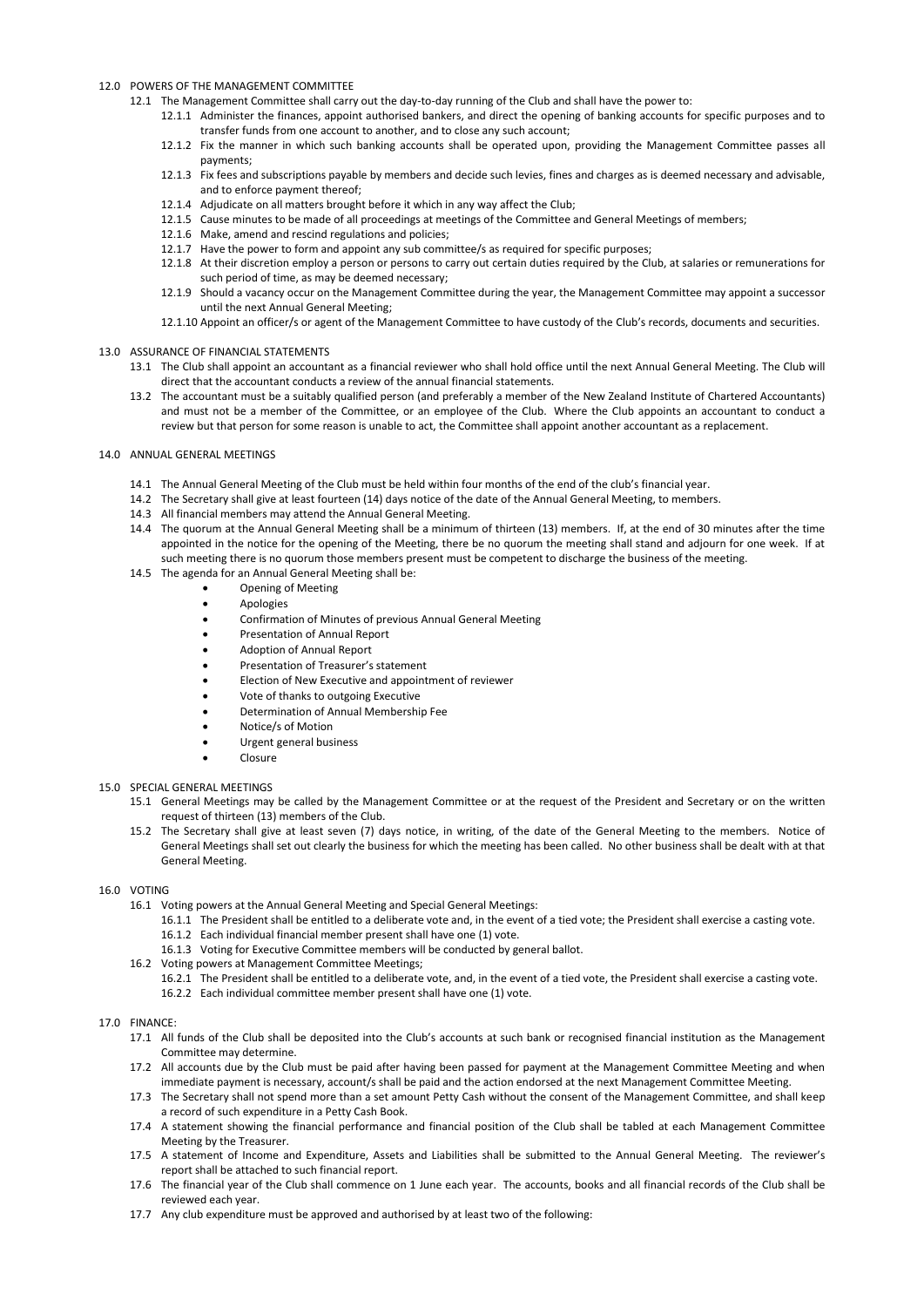## 12.0 POWERS OF THE MANAGEMENT COMMITTEE

- 12.1 The Management Committee shall carry out the day-to-day running of the Club and shall have the power to:
	- 12.1.1 Administer the finances, appoint authorised bankers, and direct the opening of banking accounts for specific purposes and to transfer funds from one account to another, and to close any such account;
	- 12.1.2 Fix the manner in which such banking accounts shall be operated upon, providing the Management Committee passes all payments;
	- 12.1.3 Fix fees and subscriptions payable by members and decide such levies, fines and charges as is deemed necessary and advisable, and to enforce payment thereof;
	- 12.1.4 Adjudicate on all matters brought before it which in any way affect the Club;
	- 12.1.5 Cause minutes to be made of all proceedings at meetings of the Committee and General Meetings of members;
	- 12.1.6 Make, amend and rescind regulations and policies;
	- 12.1.7 Have the power to form and appoint any sub committee/s as required for specific purposes;
	- 12.1.8 At their discretion employ a person or persons to carry out certain duties required by the Club, at salaries or remunerations for such period of time, as may be deemed necessary;
	- 12.1.9 Should a vacancy occur on the Management Committee during the year, the Management Committee may appoint a successor until the next Annual General Meeting;
	- 12.1.10 Appoint an officer/s or agent of the Management Committee to have custody of the Club's records, documents and securities.

## 13.0 ASSURANCE OF FINANCIAL STATEMENTS

- 13.1 The Club shall appoint an accountant as a financial reviewer who shall hold office until the next Annual General Meeting. The Club will direct that the accountant conducts a review of the annual financial statements.
- 13.2 The accountant must be a suitably qualified person (and preferably a member of the New Zealand Institute of Chartered Accountants) and must not be a member of the Committee, or an employee of the Club. Where the Club appoints an accountant to conduct a review but that person for some reason is unable to act, the Committee shall appoint another accountant as a replacement.

#### 14.0 ANNUAL GENERAL MEETINGS

- 14.1 The Annual General Meeting of the Club must be held within four months of the end of the club's financial year.
- 14.2 The Secretary shall give at least fourteen (14) days notice of the date of the Annual General Meeting, to members.
- 14.3 All financial members may attend the Annual General Meeting.
- 14.4 The quorum at the Annual General Meeting shall be a minimum of thirteen (13) members. If, at the end of 30 minutes after the time appointed in the notice for the opening of the Meeting, there be no quorum the meeting shall stand and adjourn for one week. If at such meeting there is no quorum those members present must be competent to discharge the business of the meeting.
- 14.5 The agenda for an Annual General Meeting shall be:
	- Opening of Meeting
		- Apologies
		- Confirmation of Minutes of previous Annual General Meeting
		- Presentation of Annual Report
		- Adoption of Annual Report
		- Presentation of Treasurer's statement
		- Election of New Executive and appointment of reviewer
		- Vote of thanks to outgoing Executive
		- Determination of Annual Membership Fee
		- Notice/s of Motion
		- Urgent general business
		- Closure

## 15.0 SPECIAL GENERAL MEETINGS

- 15.1 General Meetings may be called by the Management Committee or at the request of the President and Secretary or on the written request of thirteen (13) members of the Club.
- 15.2 The Secretary shall give at least seven (7) days notice, in writing, of the date of the General Meeting to the members. Notice of General Meetings shall set out clearly the business for which the meeting has been called. No other business shall be dealt with at that General Meeting.

#### 16.0 VOTING

- 16.1 Voting powers at the Annual General Meeting and Special General Meetings:
	- 16.1.1 The President shall be entitled to a deliberate vote and, in the event of a tied vote; the President shall exercise a casting vote.
	- 16.1.2 Each individual financial member present shall have one (1) vote.
	- 16.1.3 Voting for Executive Committee members will be conducted by general ballot.

#### 16.2 Voting powers at Management Committee Meetings;

16.2.1 The President shall be entitled to a deliberate vote, and, in the event of a tied vote, the President shall exercise a casting vote.

#### 16.2.2 Each individual committee member present shall have one (1) vote.

#### 17.0 FINANCE:

- 17.1 All funds of the Club shall be deposited into the Club's accounts at such bank or recognised financial institution as the Management Committee may determine.
- 17.2 All accounts due by the Club must be paid after having been passed for payment at the Management Committee Meeting and when immediate payment is necessary, account/s shall be paid and the action endorsed at the next Management Committee Meeting.
- 17.3 The Secretary shall not spend more than a set amount Petty Cash without the consent of the Management Committee, and shall keep a record of such expenditure in a Petty Cash Book.
- 17.4 A statement showing the financial performance and financial position of the Club shall be tabled at each Management Committee Meeting by the Treasurer.
- 17.5 A statement of Income and Expenditure, Assets and Liabilities shall be submitted to the Annual General Meeting. The reviewer's report shall be attached to such financial report.
- 17.6 The financial year of the Club shall commence on 1 June each year. The accounts, books and all financial records of the Club shall be reviewed each year.
- 17.7 Any club expenditure must be approved and authorised by at least two of the following: